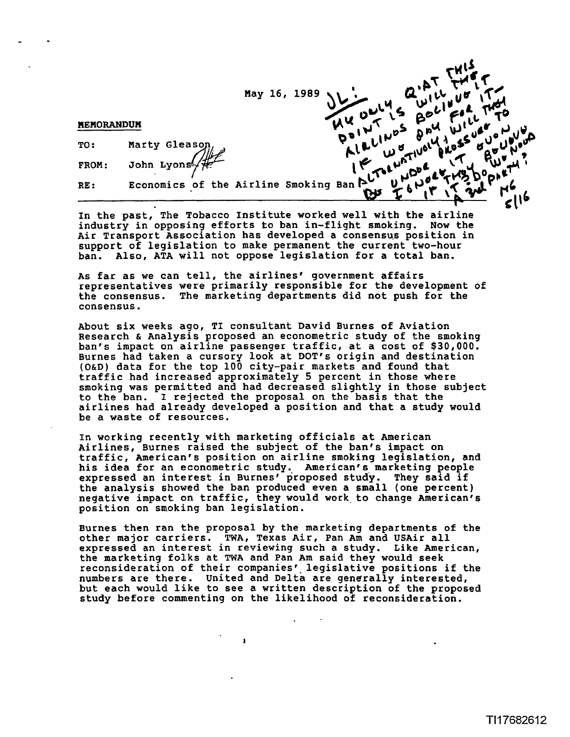|                   |                | May 16, 1989                                                          |
|-------------------|----------------|-----------------------------------------------------------------------|
| <b>MEMORANDUM</b> |                |                                                                       |
| TO:               | Marty Gleason, | LLINDS                                                                |
| FROM:             |                |                                                                       |
| RE:               |                | Economics of the Airline Smoking Ban $\sum_{u=1}^{N} w_{u}^{u}$<br>2N |
|                   |                |                                                                       |

**In the past, The Tobacco Institute worked well with the airline industry in opposing efforts to ban in-flight smoking. Now the**  Air Transport Association has developed a consensus position in **support of legislation to make permanent the current two-hour ban. Also, ATA will not oppose legislation for a total ban.** 

As far as we can tell, the airlines' government affairs **representatives were primarily responsible for the development of the consensus. The marketing departments did not push for the consensus.** 

 **bout six weeks ago, TI consultant David Burnes of Aviation Research** & **Analysis proposed an econometric study of the smoking ban's impact on airline passenger traffic, at a cost of \$30,000. Burnes had taken a cursory look at DOT'S origin and destination (OW) data for the top 100 city-pair markets and found that traffic had increased approximately 5 percent in those where smoking was permitted and had decreased slightly in those subject to the ban. I rejected the proposal on the basis that the airlines had already developed a position and that a study would be a waste of resources.** 

**In working recently with marketing officials at American Airlines, Burnes raised the subject of the ban's impact on traffic, American's position on airline smoking legislation, and his idea for an econometric study. American's marketing people expressed an interest in Burnesf proposed study. They said if the analysis showed the ban produced even a small (one percent) negative impact on traffic, they would work.to change Americanfs position on smoking ban legislation.** 

**Burnes then ran the proposal by the marketing departments of the other major carriers. TWA, Texas Air, Pan Am and USAir all expressed an interest in reviewing such a study. Like American, the marketing folks at TWA and Pan Am said they would seek**  reconsideration of their companies' legislative positions if the **numbers are there. United and Delta are generally interested, but each would like to see a written description of the proposed study before commenting on the likelihood of reconsideration.**